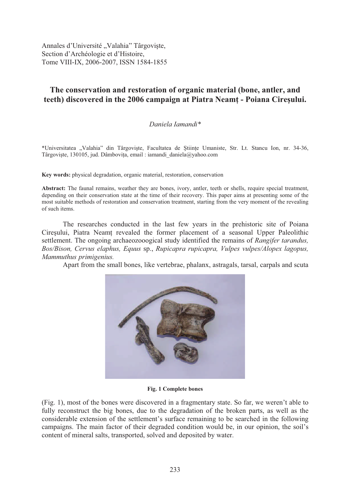Annales d'Université "Valahia" Târgoviște, Section d'Archéologie et d'Histoire, Tome VIII-IX, 2006-2007, ISSN 1584-1855

# **The conservation and restoration of organic material (bone, antler, and teeth)** discovered in the 2006 campaign at Piatra Neamt - Poiana Ciresului.

# *Daniela Iamandi\**

\*Universitatea "Valahia" din Târgoviște, Facultatea de Științe Umaniste, Str. Lt. Stancu Ion, nr. 34-36, Târgoviște, 130105, jud. Dâmbovița, email : iamandi daniela@yahoo.com

**Key words:** physical degradation, organic material, restoration, conservation

Abstract: The faunal remains, weather they are bones, ivory, antler, teeth or shells, require special treatment, depending on their conservation state at the time of their recovery. This paper aims at presenting some of the most suitable methods of restoration and conservation treatment, starting from the very moment of the revealing of such items.

The researches conducted in the last few years in the prehistoric site of Poiana Cire sului, Piatra Neamt revealed the former placement of a seasonal Upper Paleolithic settlement. The ongoing archaeozooogical study identified the remains of *Rangifer tarandus, Bos/Bison, Cervus elaphus, Equus* sp., *Rupicapra rupicapra, Vulpes vulpes/Alopex lagopus, Mammuthus primigenius.*

Apart from the small bones, like vertebrae, phalanx, astragals, tarsal, carpals and scuta



**Fig. 1 Complete bones** 

(Fig. 1), most of the bones were discovered in a fragmentary state. So far, we weren't able to fully reconstruct the big bones, due to the degradation of the broken parts, as well as the considerable extension of the settlement's surface remaining to be searched in the following campaigns. The main factor of their degraded condition would be, in our opinion, the soil's content of mineral salts, transported, solved and deposited by water.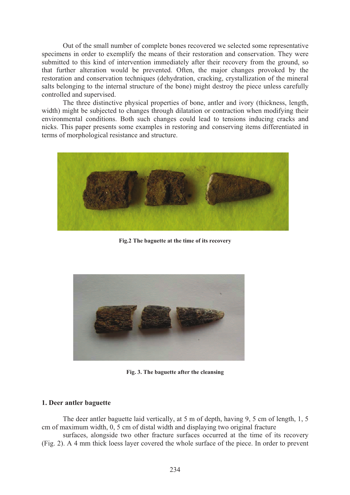Out of the small number of complete bones recovered we selected some representative specimens in order to exemplify the means of their restoration and conservation. They were submitted to this kind of intervention immediately after their recovery from the ground, so that further alteration would be prevented. Often, the major changes provoked by the restoration and conservation techniques (dehydration, cracking, crystallization of the mineral salts belonging to the internal structure of the bone) might destroy the piece unless carefully controlled and supervised.

The three distinctive physical properties of bone, antler and ivory (thickness, length, width) might be subjected to changes through dilatation or contraction when modifying their environmental conditions. Both such changes could lead to tensions inducing cracks and nicks. This paper presents some examples in restoring and conserving items differentiated in terms of morphological resistance and structure.



**Fig.2 The baguette at the time of its recovery** 



**Fig. 3. The baguette after the cleansing** 

# **1. Deer antler baguette**

The deer antler baguette laid vertically, at 5 m of depth, having 9, 5 cm of length, 1, 5 cm of maximum width, 0, 5 cm of distal width and displaying two original fracture

surfaces, alongside two other fracture surfaces occurred at the time of its recovery (Fig. 2). A 4 mm thick loess layer covered the whole surface of the piece. In order to prevent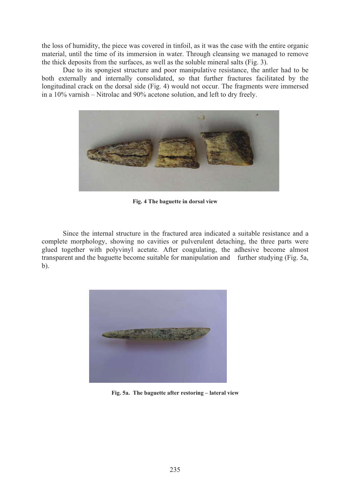the loss of humidity, the piece was covered in tinfoil, as it was the case with the entire organic material, until the time of its immersion in water. Through cleansing we managed to remove the thick deposits from the surfaces, as well as the soluble mineral salts (Fig. 3).

Due to its spongiest structure and poor manipulative resistance, the antler had to be both externally and internally consolidated, so that further fractures facilitated by the longitudinal crack on the dorsal side (Fig. 4) would not occur. The fragments were immersed in a 10% varnish – Nitrolac and 90% acetone solution, and left to dry freely.



**Fig. 4 The baguette in dorsal view** 

Since the internal structure in the fractured area indicated a suitable resistance and a complete morphology, showing no cavities or pulverulent detaching, the three parts were glued together with polyvinyl acetate. After coagulating, the adhesive become almost transparent and the baguette become suitable for manipulation and further studying (Fig. 5a, b).



**Fig. 5a. The baguette after restoring – lateral view**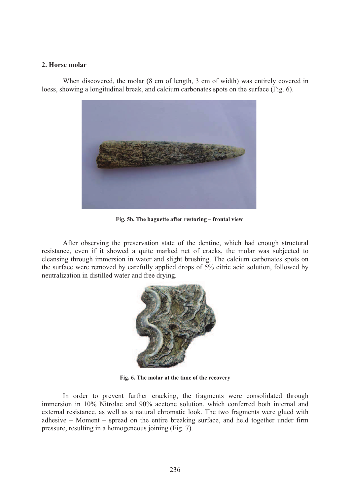## **2. Horse molar**

When discovered, the molar (8 cm of length, 3 cm of width) was entirely covered in loess, showing a longitudinal break, and calcium carbonates spots on the surface (Fig. 6).



**Fig. 5b. The baguette after restoring – frontal view** 

After observing the preservation state of the dentine, which had enough structural resistance, even if it showed a quite marked net of cracks, the molar was subjected to cleansing through immersion in water and slight brushing. The calcium carbonates spots on the surface were removed by carefully applied drops of 5% citric acid solution, followed by neutralization in distilled water and free drying.



**Fig. 6. The molar at the time of the recovery** 

In order to prevent further cracking, the fragments were consolidated through immersion in 10% Nitrolac and 90% acetone solution, which conferred both internal and external resistance, as well as a natural chromatic look. The two fragments were glued with adhesive – Moment – spread on the entire breaking surface, and held together under firm pressure, resulting in a homogeneous joining (Fig. 7).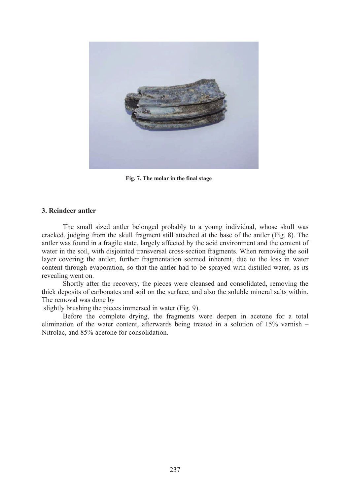

**Fig. 7. The molar in the final stage** 

## **3. Reindeer antler**

The small sized antler belonged probably to a young individual, whose skull was cracked, judging from the skull fragment still attached at the base of the antler (Fig. 8). The antler was found in a fragile state, largely affected by the acid environment and the content of water in the soil, with disjointed transversal cross-section fragments. When removing the soil layer covering the antler, further fragmentation seemed inherent, due to the loss in water content through evaporation, so that the antler had to be sprayed with distilled water, as its revealing went on.

Shortly after the recovery, the pieces were cleansed and consolidated, removing the thick deposits of carbonates and soil on the surface, and also the soluble mineral salts within. The removal was done by

slightly brushing the pieces immersed in water (Fig. 9).

Before the complete drying, the fragments were deepen in acetone for a total elimination of the water content, afterwards being treated in a solution of 15% varnish – Nitrolac, and 85% acetone for consolidation.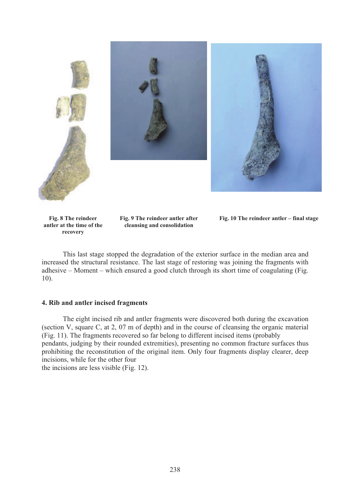

**Fig. 8 The reindeer antler at the time of the recovery** 

**Fig. 9 The reindeer antler after cleansing and consolidation** 

**Fig. 10 The reindeer antler – final stage** 

This last stage stopped the degradation of the exterior surface in the median area and increased the structural resistance. The last stage of restoring was joining the fragments with adhesive – Moment – which ensured a good clutch through its short time of coagulating (Fig. 10).

## **4. Rib and antler incised fragments**

The eight incised rib and antler fragments were discovered both during the excavation (section V, square C, at 2, 07 m of depth) and in the course of cleansing the organic material (Fig. 11). The fragments recovered so far belong to different incised items (probably pendants, judging by their rounded extremities), presenting no common fracture surfaces thus prohibiting the reconstitution of the original item. Only four fragments display clearer, deep incisions, while for the other four

the incisions are less visible (Fig. 12).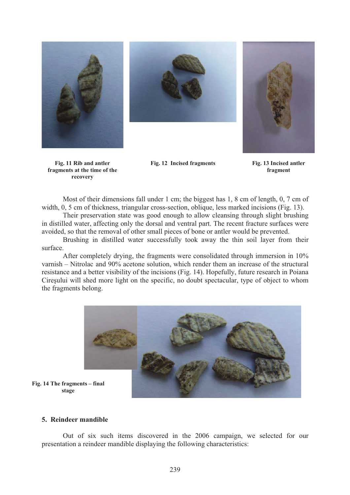



**Fig. 12 Incised fragments Fig. 13 Incised antler** 



**fragment** 

**Fig. 11 Rib and antler fragments at the time of the recovery** 

Most of their dimensions fall under 1 cm; the biggest has 1, 8 cm of length, 0, 7 cm of width, 0, 5 cm of thickness, triangular cross-section, oblique, less marked incisions (Fig. 13).

Their preservation state was good enough to allow cleansing through slight brushing in distilled water, affecting only the dorsal and ventral part. The recent fracture surfaces were avoided, so that the removal of other small pieces of bone or antler would be prevented.

Brushing in distilled water successfully took away the thin soil layer from their surface.

After completely drying, the fragments were consolidated through immersion in 10% varnish – Nitrolac and 90% acetone solution, which render them an increase of the structural resistance and a better visibility of the incisions (Fig. 14). Hopefully, future research in Poiana Cire sului will shed more light on the specific, no doubt spectacular, type of object to whom the fragments belong.



**Fig. 14 The fragments – final stage** 

## **5. Reindeer mandible**

Out of six such items discovered in the 2006 campaign, we selected for our presentation a reindeer mandible displaying the following characteristics: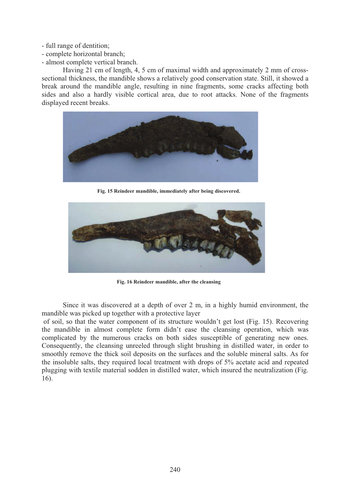- full range of dentition;
- complete horizontal branch;
- almost complete vertical branch.

Having 21 cm of length, 4, 5 cm of maximal width and approximately 2 mm of crosssectional thickness, the mandible shows a relatively good conservation state. Still, it showed a break around the mandible angle, resulting in nine fragments, some cracks affecting both sides and also a hardly visible cortical area, due to root attacks. None of the fragments displayed recent breaks.



**Fig. 15 Reindeer mandible, immediately after being discovered.** 



**Fig. 16 Reindeer mandible, after the cleansing** 

Since it was discovered at a depth of over 2 m, in a highly humid environment, the mandible was picked up together with a protective layer

 of soil, so that the water component of its structure wouldn't get lost (Fig. 15). Recovering the mandible in almost complete form didn't ease the cleansing operation, which was complicated by the numerous cracks on both sides susceptible of generating new ones. Consequently, the cleansing unreeled through slight brushing in distilled water, in order to smoothly remove the thick soil deposits on the surfaces and the soluble mineral salts. As for the insoluble salts, they required local treatment with drops of 5% acetate acid and repeated plugging with textile material sodden in distilled water, which insured the neutralization (Fig. 16).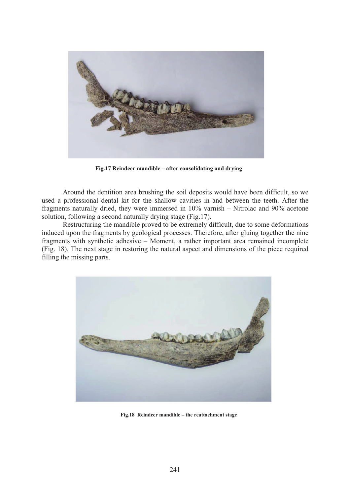

**Fig.17 Reindeer mandible – after consolidating and drying** 

Around the dentition area brushing the soil deposits would have been difficult, so we used a professional dental kit for the shallow cavities in and between the teeth. After the fragments naturally dried, they were immersed in 10% varnish – Nitrolac and 90% acetone solution, following a second naturally drying stage (Fig.17).

Restructuring the mandible proved to be extremely difficult, due to some deformations induced upon the fragments by geological processes. Therefore, after gluing together the nine fragments with synthetic adhesive – Moment, a rather important area remained incomplete (Fig. 18). The next stage in restoring the natural aspect and dimensions of the piece required filling the missing parts.



**Fig.18 Reindeer mandible – the reattachment stage**